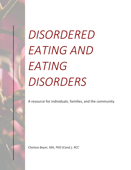# *DISORDERED EATING AND EATING DISORDERS*

A resource for individuals, families, and the community

*Chelsea Beyer, MA, PhD (Cand.), RCC*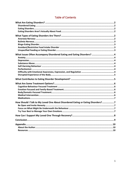| What Issues Often Accompany Disordered Eating and Eating Disorders?  4          |  |
|---------------------------------------------------------------------------------|--|
|                                                                                 |  |
|                                                                                 |  |
| How Should I Talk to My Loved One About Disordered Eating or Eating Disorders?7 |  |
|                                                                                 |  |
|                                                                                 |  |
|                                                                                 |  |

# **Table of Contents**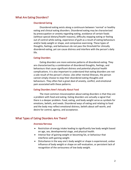# <span id="page-2-1"></span><span id="page-2-0"></span>What Are Eating Disorders?

# Disordered Eating

Disordered eating exists along a continuum between 'normal' or healthy eating and clinical eating disorders. Disordered eating may be characterized by preoccupation or anxiety regarding eating, avoidance of certain foods (without special dietary/health reasons), difficulty stopping eating or feeling out of control while eating, experience of guilt as a result of eating behaviours and/or body weight or shape, and compulsive exercising. These types of thoughts, feelings, and behaviours do not pass the threshold for clinically disordered eating, yet can cause distress and interfere with the person's daily life.

# <span id="page-2-2"></span>Eating Disorders

Eating disorders are more extreme patterns of disordered eating. They are characterized by a combination of disordered thoughts, feelings, and behaviours that cause significant distress and potential physical health complications. It is also important to understand that eating disorders are not a sole result of the person's choice. Like other mental illnesses, the person cannot simply choose to stop their disordered eating thoughts and behaviours. They often feel a great deal of anxiety, conflict, and emotional pain associated with these patterns.

### <span id="page-2-3"></span>Eating Disorders Aren't Actually About Food

The most common misconception about eating disorders is that they are a problem with food and eating. Eating disorders are actually a signal that there is a deeper problem. Food, eating, and body weight serve as symbols for emotions, beliefs, and needs. Disordered ways of eating and relating to food and the body may reflect emotional distress, beliefs about self-worth, and desire for control, agency, and acceptance.

# <span id="page-2-5"></span><span id="page-2-4"></span>What Types of Eating Disorders Are There?

# Anorexia Nervosa

- Restriction of energy intake leading to significantly low body weight based on age, sex, developmental stage, and physical health.
- Intense fear of gaining weight or becoming fat, or behaviour that interferes with gaining weight.
- Disturbance in the way one's body weight or shape is experienced, undue influence of body weight or shape on self-evaluation, or persistent lack of recognition of the seriousness of low body weight.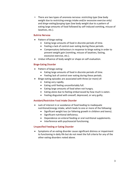There are two types of anorexia nervosa: *restricting type* (low body weight due to restricting energy intake and/or excessive exercise only) and *binge-eating/purging type* (low body weight due to a pattern of eating large amounts of food followed by self-induced vomiting, misuse of laxatives, etc.).

# <span id="page-3-0"></span>Bulimia Nervosa

- Pattern of binge eating:
	- Eating large amounts of food in discrete periods of time.
	- Feeling a lack of control over eating during these periods.
	- Compensatory behaviours in response to binge eating in order to prevent weight gain (vomiting, misuse of laxatives, fasting, excessive exercise, etc.).
- Undue influence of body weight or shape on self-evaluation.

# <span id="page-3-1"></span>Binge-Eating Disorder

- Pattern of binge eating:
	- Eating large amounts of food in discrete periods of time.
	- Feeling lack of control over eating during these periods.
- Binge-eating episodes are associated with three (or more) of:
	- Eating very rapidly.
	- Eating until feeling uncomfortably full.
	- Eating large amounts of food when not hungry.
	- Eating alone due to feeling embarrassed by how much is eaten.
	- Feeling disgusted with oneself, depressed, or very guilty.

# <span id="page-3-2"></span>Avoidant/Restrictive Food Intake Disorder

- Lack of interest in or avoidance of food leading to inadequate nutritional/energy intake, which leads to one or more of the following:
	- Significant weight loss (or faltering growth in children and teens).
	- Significant nutritional deficiency.
	- Dependence on enteral feeding or oral nutritional supplements.
	- Interference with psychosocial functioning.

# <span id="page-3-3"></span>Unspecified Feeding or Eating Disorder

• Symptoms of an eating disorder cause significant distress or impairment to functioning in daily life but do not meet the full criteria for any of the other eating disorders noted above.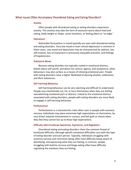# <span id="page-4-1"></span><span id="page-4-0"></span>What Issues Often Accompany Disordered Eating and Eating Disorders?

### Anxiety

Often people with disordered eating or eating disorders experience anxiety. This anxiety may take the form of excessive worry about food and eating, body weight or shape, social situations, or feeling jittery or 'on edge.'

### <span id="page-4-2"></span>Depression

Noticeable fluctuations in mood typically are seen with disordered eating and eating disorders. Very low mood or even clinical depression is common in these cases. Low mood and depression may be characterized by sadness, low self-esteem, loss of enjoyment in previously enjoyable activities, and feelings of hopelessness.

### <span id="page-4-3"></span>Substance Abuse

Because eating disorders are typically rooted in emotional distress, beliefs about self-worth, and desire for control, agency, and acceptance, other behaviours may also surface as a means of relieving emotional pain. People with eating disorders have a higher likelihood of abusing alcohol, medication, and illicit substances.

### <span id="page-4-4"></span>Self-Harming Behaviour

Self-harming behaviour can be very alarming and difficult to understand. People may intentionally cut, hit, or burn themselves when they are feeling overwhelming emotional pain or distress. Linked to the emotional distress associated with eating disorders, people with eating disorders are more likely to engage in self-harming behaviour.

### <span id="page-4-5"></span>Perfectionism

Perfectionism is a characteristic most often seen in people with anorexia nervosa. Individuals may place extremely high expectations on themselves, be very driven towards achievement or success, and feel guilt or shame when they feel they cannot live up to these high expectations.

### <span id="page-4-6"></span>Difficulty with Emotional Awareness, Expression, and Regulation

Disordered eating and eating disorders share the common thread of emotional difficulty, although specific emotional difficulties vary with the type of eating disorder and each person. Typically, individuals struggling with anorexia nervosa and restrictive eating often have difficulty being aware of, identifying, and expressing what they are feeling. In contrast, people struggling with bulimia nervosa and binge-eating often have difficulty regulating the emotions they are feeling.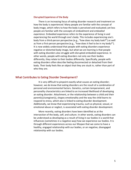### <span id="page-5-0"></span>Disrupted Experience of the Body

There is an increasing focus of eating disorder research and treatment on how the body is *experienced*. Many people are familiar with the concept of body image, which refers to how the body is perceived and evaluated; yet less people are familiar with the concepts of *embodiment* and *embodied experience*. Embodied experience refers to the experience of living in and experiencing the world through one's body. This includes experiencing one's body from a third-person perspective (e.g., "how does my body look?") as well as from a first-person perspective (e.g., "how does it feel to be in my body?"). It is now widely understood that people with eating disorders experience negative or distorted body image, but what we are learning is that people with eating disorders also struggle with disrupted embodied experience. In other words, people with eating disorders not only see their bodies differently, they relate to their bodies differently. Specifically, people with eating disorders often describe feeling disconnected or detached from their body. Their body feels like an object that they are stuck in, rather than part of who they are.

# <span id="page-5-1"></span>What Contributes to Eating Disorder Development?

It is very difficult to pinpoint exactly what causes an eating disorder; however, we do know that eating disorders are the result of a combination of personal and environmental factors. Genetics, certain temperament, and personality characteristics are linked to an increased likelihood of developing an eating disorder. Attachment, or the relationship between a child and their parent(s)/caregiver(s), shapes emotionality and the way the child learns to respond to stress, which also is linked to eating disorder development. Additionally, we know that experiencing trauma, such as physical, sexual, or emotional abuse or neglect, is associated with eating disorder development.

More recently, eating disorders have been identified as at the intersection of the body, self, and culture. In other words, eating disorders can be understood as developing as a result of living in our bodies in a world that influences (sometimes in a negative way) how we experience our bodies. It is through different experiences across our lifespan that we come to have a healthy, engaged relationship with our bodies, or an negative, disengaged relationship with our bodies.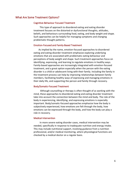# <span id="page-6-1"></span><span id="page-6-0"></span>What Are Some Treatment Options?

### Cognitive-Behaviour Focused Treatment

This type of approach to disordered eating and eating disorder treatment focuses on the distorted or dysfunctional thoughts, attitudes, beliefs, and behaviours surrounding food, eating, and body weight and shape. Such approaches can be helpful for managing symptoms and changing problematic thought patterns.

# <span id="page-6-2"></span>Emotion-Focused and Family-Based Treatment

As implied by the name, emotion-focused approaches to disordered eating and eating disorder treatment emphasize exploring underlying emotions that are associated with problematic eating behaviour and perceptions of body weight and shape. Such treatment approaches focus on identifying, expressing, and learning to regulate emotions in healthy ways. Family-based approaches are increasingly integrated with emotion-focused treatment, and a great option especially when the person with the eating disorder is a child or adolescent living with their family. Including the family in the treatment process can help by improving relationships between family members, facilitating healthy ways of expressing and managing emotions in their daily life, and supporting the person and family through recovery.

### <span id="page-6-3"></span>Body/Somatic-Focused Treatment

Although counselling or therapy is often thought of as working with the mind, these approaches to disordered eating and eating disorder treatment take into account the connection between the mind and body. The role of the body in experiencing, identifying, and expressing emotions is especially important. Body/somatic-focused approaches emphasize how the body is subjectively experienced, how emotions are felt through the body, how emotions can be expressed through the body, and how the body can play a role in recovery.

### <span id="page-6-4"></span>Medical Intervention

In more severe eating disorder cases, medical intervention may be needed, specifically in response to inadequate nutrition and energy intake. This may include nutritional support, involving guidance from a nutrition professional, and/or medical monitoring, where physiological functions are checked by a medical doctor on a regular basis.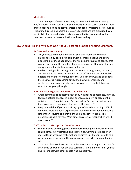# <span id="page-7-0"></span>**Medications**

Certain types of medications may be prescribed to lessen anxiety and/or address mood concerns in some eating disorder cases. Common types of medications include selective serotonin reuptake inhibitors (SSRIs), such as Fluoxetine (Prozac) and Sertraline (Zoloft). Medications are prescribed by a medical doctor or psychiatrist, and are most effective in eating disorder treatment when used in combination with counselling.

# <span id="page-7-2"></span><span id="page-7-1"></span>How Should I Talk to My Loved One About Disordered Eating or Eating Disorders?

# Be Open and Invite Honesty

- Try your best to be nonjudgmental. Guilt and shame are common emotions felt by people struggling with disordered eating and eating disorders. Be curious about what they're going through and convey that you are care about them, rather than communicating that what they are doing is something to be embarrassed about.
- Be direct and gentle. Talking about disordered eating, eating disorders, and mental health issues in general can be difficult and uncomfortable, but it is important to communicate that you can and want to talk about these concerns. Approaching difficult topics with sensitivity and gentleness helps create a safe space for your loved one to talk about what they're going through.

# <span id="page-7-3"></span>Focus on What Might Be Underneath the Behaviour

- Avoid comments specifically about body weight and appearance. Instead, focus on noticed changes in mood, energy, sociability, engagement in activities, etc.. You might say, "I've noticed you've been spending more time alone lately. Has something been bothering you?".
- Keep in mind that if you are noticing signs of disordered eating, difficult emotions likely are being experienced. Invite discussion about emotions rather than focusing on behaviours. You might say, "It seems like dinnertime is hard for you. What emotions are you feeling when we sit down to eat?".

# <span id="page-7-4"></span>Try Your Best to Manage Your Own Emotions

- Seeing a loved one struggle with disordered eating or an eating disorder can be confusing, frustrating, and frightening. Communicating is often more difficult when we feel emotionally stirred up. Try your best to talk with your loved one about the concerns you have when you are feeling calm.
- Take care of yourself. You will be in the best place to support and care for your loved one when you are also cared for. Take time to care for yourself and to connect with other people who support you.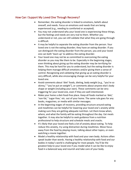# <span id="page-8-0"></span>How Can I Support My Loved One Through Recovery?

- Remember, the eating disorder is linked to emotions, beliefs about oneself, and needs. Focus on emotions and needs that are being experienced (e.g., needing to comforted or accepted).
- You may not understand why your loved one is experiencing these things, but the feelings and needs are very real to them. Whether you understand or not, you can still validate that what they are going through is difficult.
- It may be helpful to separate the eating disorder from the person. Your loved one is not the eating disorder; they have an eating disorder. If you can distinguish the eating disorder from the person, you and your loved one can both 'team up' to address the eating disorder.
- Your loved one may not be as committed to overcoming the eating disorder as you may like them to be. Especially in the beginning stages, even thinking about giving up the eating disorder may be terrifying for them. This may be hard for you to understand, but the eating disorder is helping them manage difficult emotions and/or giving them a sense of control. Recognizing and validating that giving up an eating disorder is very difficult, while also encouraging change can be very helpful for your loved one.
- Avoid comments about 'diet' foods, dieting, body weight (e.g., "you're so skinny," "you've put on weight"), or comments about anyone else's body shape or weight (including your own). These comments can be very triggering for your loved one, even if they are well-intentioned.
- Make your home a diet-food-free place. Keep all foods marked as 'diet,' 'non-fat,' 'sugar-free,' etc. out of your home. The same rule goes for any books, magazines, or media with similar messages.
- In the beginning stages of recovery, providing structure around eating and mealtimes can be helpful for lowering your loved one's anxiety while making sure they are getting adequate nutrition. Let them know when, where, and what the family will be eating throughout the day. Eat meals together. It may also be helpful to seek guidance from a nutrition professional to help structure and schedule meals and snacks.
- It's likely that your loved one feels a lot of anxiety about eating. To help reduce this anxiety, try using distraction during mealtimes. Move focus away from the food by playing music, talking about other topics, or even watching a movie together.
- Model a healthy relationship with food and your own body. Actions often speak louder than words. Having a healthy relationship with food and our bodies in today's world is challenging for most people. You'll be the greatest help to your loved one if you model what it can be like to enjoy food in a balanced way and nourish and take care of your body.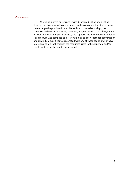# <span id="page-9-0"></span>**Conclusion**

Watching a loved one struggle with disordered eating or an eating disorder, or struggling with one yourself can be overwhelming. It often seems to rearrange the priorities in your life and can strain relationships, test patience, and feel disheartening. Recovery is a journey that isn't always linear. It takes intentionality, perseverance, and support. The information included in this brochure was compiled as a starting point, to open space for conversation and guide dialogue. If you've resonated with any of these topics and/or have questions, take a look through the resources listed in the Appendix and/or reach out to a mental health professional.